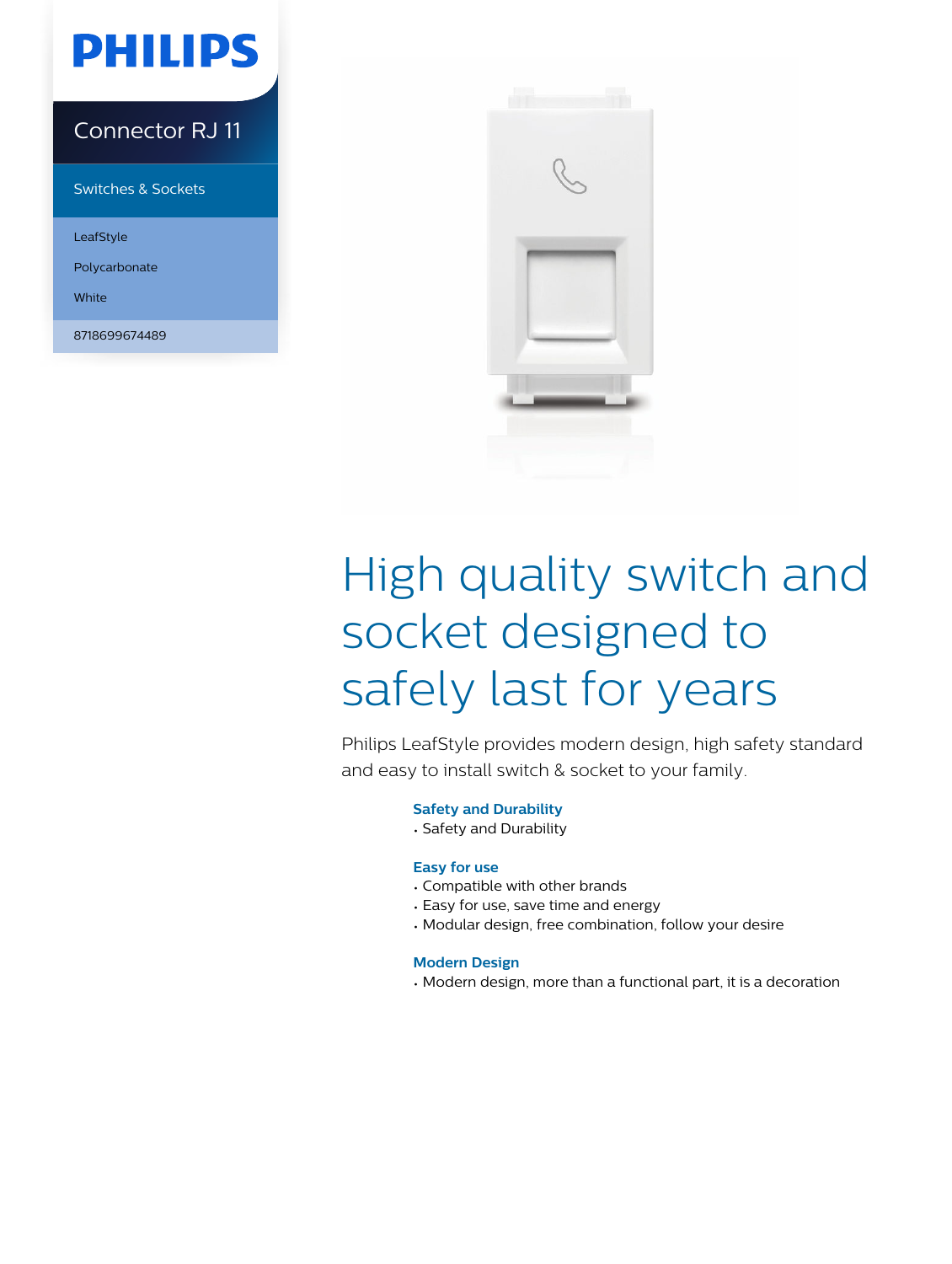# **PHILIPS**

### Connector RJ 11

Switches & Sockets

LeafStyle

Polycarbonate

White

8718699674489



# High quality switch and socket designed to safely last for years

Philips LeafStyle provides modern design, high safety standard and easy to install switch & socket to your family.

#### **Safety and Durability**

• Safety and Durability

#### **Easy for use**

- Compatible with other brands
- Easy for use, save time and energy
- Modular design, free combination, follow your desire

#### **Modern Design**

• Modern design, more than a functional part, it is a decoration